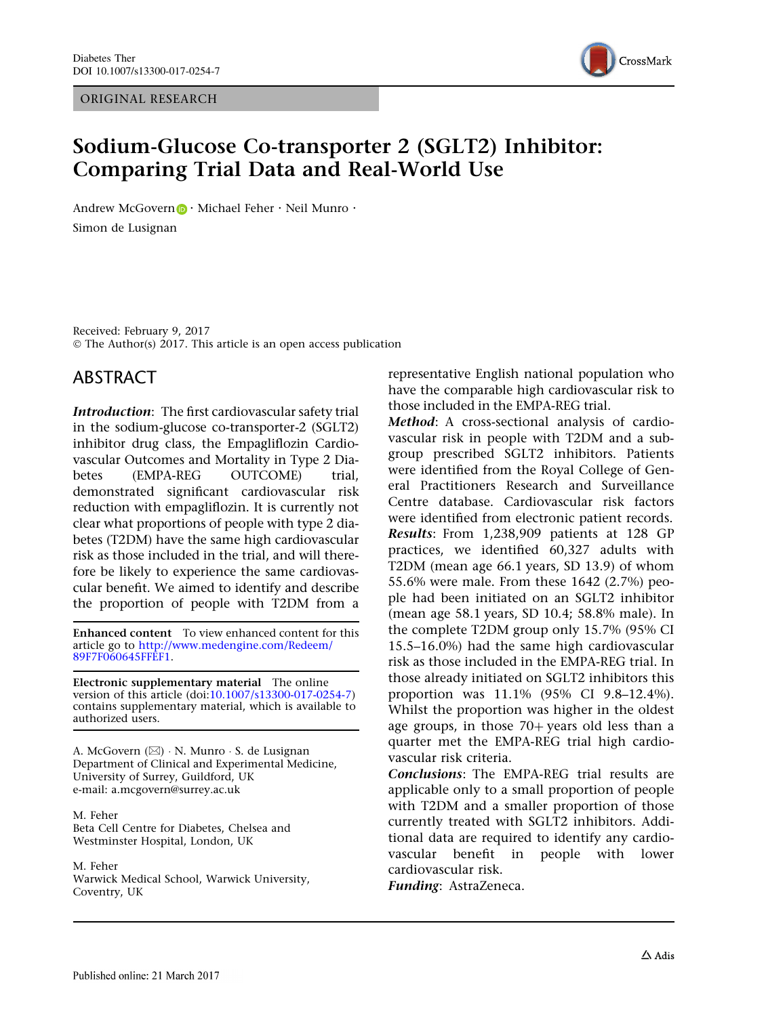ORIGINAL RESEARCH



# Sodium-Glucose Co-transporter 2 (SGLT2) Inhibitor: Comparing Trial Data and Real-World Use

Andrew McGovern  $\bigcirc$  · Michael Feher  $\cdot$  Neil Munro  $\cdot$ Simon de Lusignan

Received: February 9, 2017 © The Author(s) 2017. This article is an open access publication

### ABSTRACT

Introduction: The first cardiovascular safety trial in the sodium-glucose co-transporter-2 (SGLT2) inhibitor drug class, the Empagliflozin Cardiovascular Outcomes and Mortality in Type 2 Diabetes (EMPA-REG OUTCOME) trial, demonstrated significant cardiovascular risk reduction with empagliflozin. It is currently not clear what proportions of people with type 2 diabetes (T2DM) have the same high cardiovascular risk as those included in the trial, and will therefore be likely to experience the same cardiovascular benefit. We aimed to identify and describe the proportion of people with T2DM from a

Enhanced content To view enhanced content for this article go to [http://www.medengine.com/Redeem/](http://www.medengine.com/Redeem/89F7F060645FFEF1) [89F7F060645FFEF1.](http://www.medengine.com/Redeem/89F7F060645FFEF1)

Electronic supplementary material The online version of this article (doi:[10.1007/s13300-017-0254-7\)](http://dx.doi.org/10.1007/s13300-017-0254-7) contains supplementary material, which is available to authorized users.

A. McGovern (⊠) · N. Munro · S. de Lusignan Department of Clinical and Experimental Medicine, University of Surrey, Guildford, UK e-mail: a.mcgovern@surrey.ac.uk

M. Feher Beta Cell Centre for Diabetes, Chelsea and Westminster Hospital, London, UK

M. Feher

Warwick Medical School, Warwick University, Coventry, UK

representative English national population who have the comparable high cardiovascular risk to those included in the EMPA-REG trial.

Method: A cross-sectional analysis of cardiovascular risk in people with T2DM and a subgroup prescribed SGLT2 inhibitors. Patients were identified from the Royal College of General Practitioners Research and Surveillance Centre database. Cardiovascular risk factors were identified from electronic patient records. Results: From 1,238,909 patients at 128 GP practices, we identified 60,327 adults with T2DM (mean age 66.1 years, SD 13.9) of whom 55.6% were male. From these 1642 (2.7%) people had been initiated on an SGLT2 inhibitor (mean age 58.1 years, SD 10.4; 58.8% male). In the complete T2DM group only 15.7% (95% CI 15.5–16.0%) had the same high cardiovascular risk as those included in the EMPA-REG trial. In those already initiated on SGLT2 inhibitors this proportion was 11.1% (95% CI 9.8–12.4%). Whilst the proportion was higher in the oldest age groups, in those  $70+$  years old less than a quarter met the EMPA-REG trial high cardiovascular risk criteria.

Conclusions: The EMPA-REG trial results are applicable only to a small proportion of people with T2DM and a smaller proportion of those currently treated with SGLT2 inhibitors. Additional data are required to identify any cardiovascular benefit in people with lower cardiovascular risk.

Funding: AstraZeneca.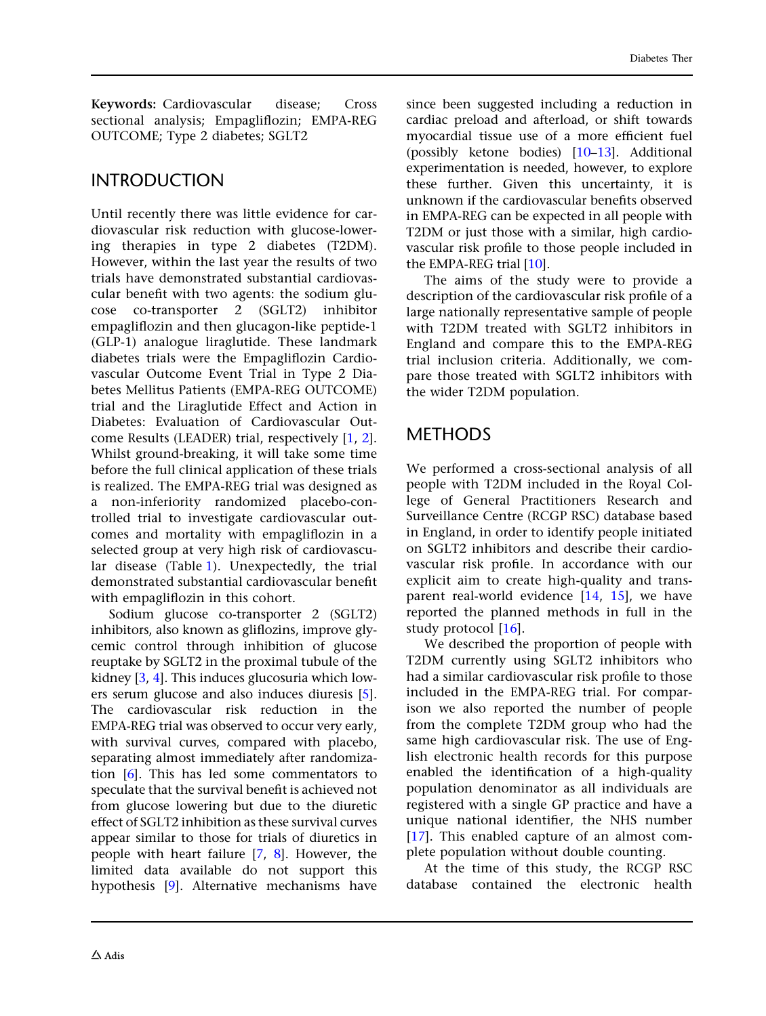Keywords: Cardiovascular disease; Cross sectional analysis; Empagliflozin; EMPA-REG OUTCOME; Type 2 diabetes; SGLT2

### INTRODUCTION

Until recently there was little evidence for cardiovascular risk reduction with glucose-lowering therapies in type 2 diabetes (T2DM). However, within the last year the results of two trials have demonstrated substantial cardiovascular benefit with two agents: the sodium glucose co-transporter 2 (SGLT2) inhibitor empagliflozin and then glucagon-like peptide-1 (GLP-1) analogue liraglutide. These landmark diabetes trials were the Empagliflozin Cardiovascular Outcome Event Trial in Type 2 Diabetes Mellitus Patients (EMPA-REG OUTCOME) trial and the Liraglutide Effect and Action in Diabetes: Evaluation of Cardiovascular Outcome Results (LEADER) trial, respectively [[1](#page-9-0), [2](#page-10-0)]. Whilst ground-breaking, it will take some time before the full clinical application of these trials is realized. The EMPA-REG trial was designed as a non-inferiority randomized placebo-controlled trial to investigate cardiovascular outcomes and mortality with empagliflozin in a selected group at very high risk of cardiovascular disease (Table [1](#page-2-0)). Unexpectedly, the trial demonstrated substantial cardiovascular benefit with empagliflozin in this cohort.

Sodium glucose co-transporter 2 (SGLT2) inhibitors, also known as gliflozins, improve glycemic control through inhibition of glucose reuptake by SGLT2 in the proximal tubule of the kidney [[3](#page-10-0), [4](#page-10-0)]. This induces glucosuria which lowers serum glucose and also induces diuresis [[5](#page-10-0)]. The cardiovascular risk reduction in the EMPA-REG trial was observed to occur very early, with survival curves, compared with placebo, separating almost immediately after randomization [[6](#page-10-0)]. This has led some commentators to speculate that the survival benefit is achieved not from glucose lowering but due to the diuretic effect of SGLT2 inhibition as these survival curves appear similar to those for trials of diuretics in people with heart failure [\[7,](#page-10-0) [8](#page-10-0)]. However, the limited data available do not support this hypothesis [[9](#page-10-0)]. Alternative mechanisms have

since been suggested including a reduction in cardiac preload and afterload, or shift towards myocardial tissue use of a more efficient fuel (possibly ketone bodies) [\[10–13\]](#page-10-0). Additional experimentation is needed, however, to explore these further. Given this uncertainty, it is unknown if the cardiovascular benefits observed in EMPA-REG can be expected in all people with T2DM or just those with a similar, high cardiovascular risk profile to those people included in the EMPA-REG trial [[10\]](#page-10-0).

The aims of the study were to provide a description of the cardiovascular risk profile of a large nationally representative sample of people with T2DM treated with SGLT2 inhibitors in England and compare this to the EMPA-REG trial inclusion criteria. Additionally, we compare those treated with SGLT2 inhibitors with the wider T2DM population.

## METHODS

We performed a cross-sectional analysis of all people with T2DM included in the Royal College of General Practitioners Research and Surveillance Centre (RCGP RSC) database based in England, in order to identify people initiated on SGLT2 inhibitors and describe their cardiovascular risk profile. In accordance with our explicit aim to create high-quality and transparent real-world evidence [[14](#page-10-0), [15](#page-10-0)], we have reported the planned methods in full in the study protocol [[16](#page-10-0)].

We described the proportion of people with T2DM currently using SGLT2 inhibitors who had a similar cardiovascular risk profile to those included in the EMPA-REG trial. For comparison we also reported the number of people from the complete T2DM group who had the same high cardiovascular risk. The use of English electronic health records for this purpose enabled the identification of a high-quality population denominator as all individuals are registered with a single GP practice and have a unique national identifier, the NHS number [\[17\]](#page-10-0). This enabled capture of an almost complete population without double counting.

At the time of this study, the RCGP RSC database contained the electronic health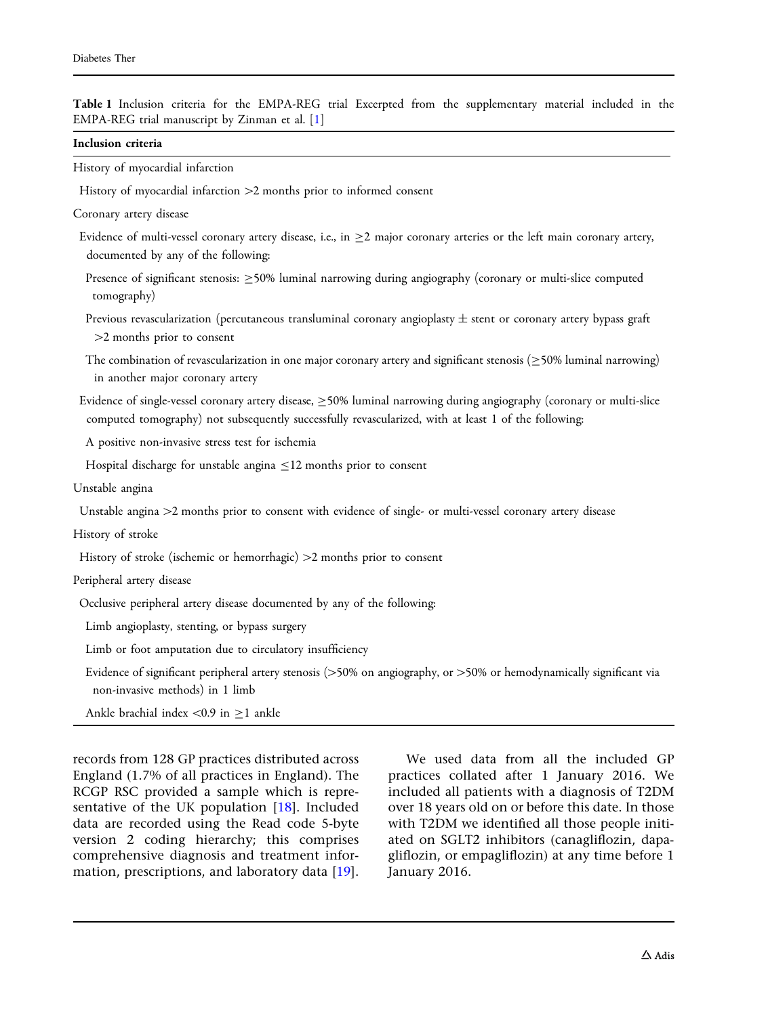<span id="page-2-0"></span>

| Inclusion criteria                                                                                                                                                                                                                  |  |
|-------------------------------------------------------------------------------------------------------------------------------------------------------------------------------------------------------------------------------------|--|
| History of myocardial infarction                                                                                                                                                                                                    |  |
| History of myocardial infarction >2 months prior to informed consent                                                                                                                                                                |  |
| Coronary artery disease                                                                                                                                                                                                             |  |
| Evidence of multi-vessel coronary artery disease, i.e., in $\geq 2$ major coronary arteries or the left main coronary artery,<br>documented by any of the following:                                                                |  |
| Presence of significant stenosis: $\geq$ 50% luminal narrowing during angiography (coronary or multi-slice computed<br>tomography)                                                                                                  |  |
| Previous revascularization (percutaneous transluminal coronary angioplasty $\pm$ stent or coronary artery bypass graft<br>>2 months prior to consent                                                                                |  |
| The combination of revascularization in one major coronary artery and significant stenosis ( $\geq$ 50% luminal narrowing)<br>in another major coronary artery                                                                      |  |
| Evidence of single-vessel coronary artery disease, $\geq$ 50% luminal narrowing during angiography (coronary or multi-slice<br>computed tomography) not subsequently successfully revascularized, with at least 1 of the following: |  |
| A positive non-invasive stress test for ischemia                                                                                                                                                                                    |  |
| Hospital discharge for unstable angina $\leq$ 12 months prior to consent                                                                                                                                                            |  |
| Unstable angina                                                                                                                                                                                                                     |  |
| Unstable angina >2 months prior to consent with evidence of single- or multi-vessel coronary artery disease                                                                                                                         |  |
| History of stroke                                                                                                                                                                                                                   |  |
| History of stroke (ischemic or hemorrhagic) >2 months prior to consent                                                                                                                                                              |  |
| Peripheral artery disease                                                                                                                                                                                                           |  |
| Occlusive peripheral artery disease documented by any of the following:                                                                                                                                                             |  |
| Limb angioplasty, stenting, or bypass surgery                                                                                                                                                                                       |  |
| Limb or foot amputation due to circulatory insufficiency                                                                                                                                                                            |  |
| Evidence of significant peripheral artery stenosis (>50% on angiography, or >50% or hemodynamically significant via<br>non-invasive methods) in 1 limb                                                                              |  |
| Ankle brachial index <0.9 in $\geq$ 1 ankle                                                                                                                                                                                         |  |

England (1.7% of all practices in England). The RCGP RSC provided a sample which is representative of the UK population [[18](#page-10-0)]. Included data are recorded using the Read code 5-byte version 2 coding hierarchy; this comprises comprehensive diagnosis and treatment information, prescriptions, and laboratory data [[19\]](#page-10-0).

practices collated after 1 January 2016. We included all patients with a diagnosis of T2DM over 18 years old on or before this date. In those with T2DM we identified all those people initiated on SGLT2 inhibitors (canagliflozin, dapagliflozin, or empagliflozin) at any time before 1 January 2016.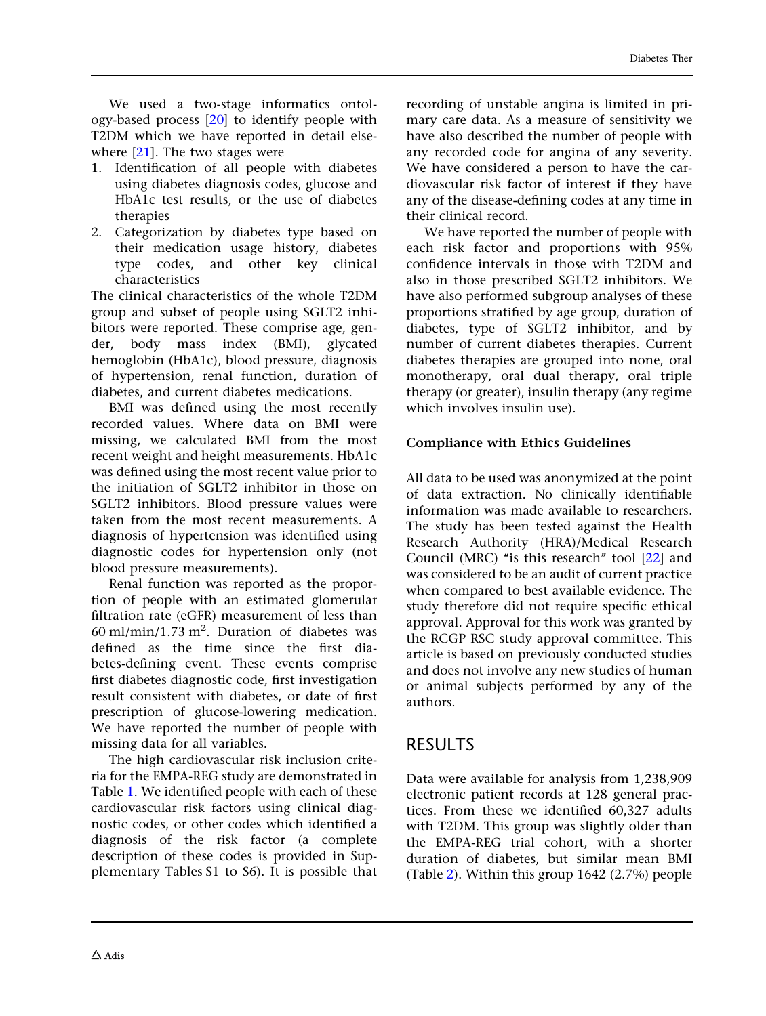We used a two-stage informatics ontology-based process [[20](#page-10-0)] to identify people with T2DM which we have reported in detail elsewhere [[21](#page-10-0)]. The two stages were

- 1. Identification of all people with diabetes using diabetes diagnosis codes, glucose and HbA1c test results, or the use of diabetes therapies
- 2. Categorization by diabetes type based on their medication usage history, diabetes type codes, and other key clinical characteristics

The clinical characteristics of the whole T2DM group and subset of people using SGLT2 inhibitors were reported. These comprise age, gender, body mass index (BMI), glycated hemoglobin (HbA1c), blood pressure, diagnosis of hypertension, renal function, duration of diabetes, and current diabetes medications.

BMI was defined using the most recently recorded values. Where data on BMI were missing, we calculated BMI from the most recent weight and height measurements. HbA1c was defined using the most recent value prior to the initiation of SGLT2 inhibitor in those on SGLT2 inhibitors. Blood pressure values were taken from the most recent measurements. A diagnosis of hypertension was identified using diagnostic codes for hypertension only (not blood pressure measurements).

Renal function was reported as the proportion of people with an estimated glomerular filtration rate (eGFR) measurement of less than 60 ml/min/1.73 m<sup>2</sup>. Duration of diabetes was defined as the time since the first diabetes-defining event. These events comprise first diabetes diagnostic code, first investigation result consistent with diabetes, or date of first prescription of glucose-lowering medication. We have reported the number of people with missing data for all variables.

The high cardiovascular risk inclusion criteria for the EMPA-REG study are demonstrated in Table [1](#page-2-0). We identified people with each of these cardiovascular risk factors using clinical diagnostic codes, or other codes which identified a diagnosis of the risk factor (a complete description of these codes is provided in Supplementary Tables S1 to S6). It is possible that

recording of unstable angina is limited in primary care data. As a measure of sensitivity we have also described the number of people with any recorded code for angina of any severity. We have considered a person to have the cardiovascular risk factor of interest if they have any of the disease-defining codes at any time in their clinical record.

We have reported the number of people with each risk factor and proportions with 95% confidence intervals in those with T2DM and also in those prescribed SGLT2 inhibitors. We have also performed subgroup analyses of these proportions stratified by age group, duration of diabetes, type of SGLT2 inhibitor, and by number of current diabetes therapies. Current diabetes therapies are grouped into none, oral monotherapy, oral dual therapy, oral triple therapy (or greater), insulin therapy (any regime which involves insulin use).

### Compliance with Ethics Guidelines

All data to be used was anonymized at the point of data extraction. No clinically identifiable information was made available to researchers. The study has been tested against the Health Research Authority (HRA)/Medical Research Council (MRC) "is this research" tool [\[22](#page-10-0)] and was considered to be an audit of current practice when compared to best available evidence. The study therefore did not require specific ethical approval. Approval for this work was granted by the RCGP RSC study approval committee. This article is based on previously conducted studies and does not involve any new studies of human or animal subjects performed by any of the authors.

# RESULTS

Data were available for analysis from 1,238,909 electronic patient records at 128 general practices. From these we identified 60,327 adults with T2DM. This group was slightly older than the EMPA-REG trial cohort, with a shorter duration of diabetes, but similar mean BMI (Table [2\)](#page-4-0). Within this group 1642 (2.7%) people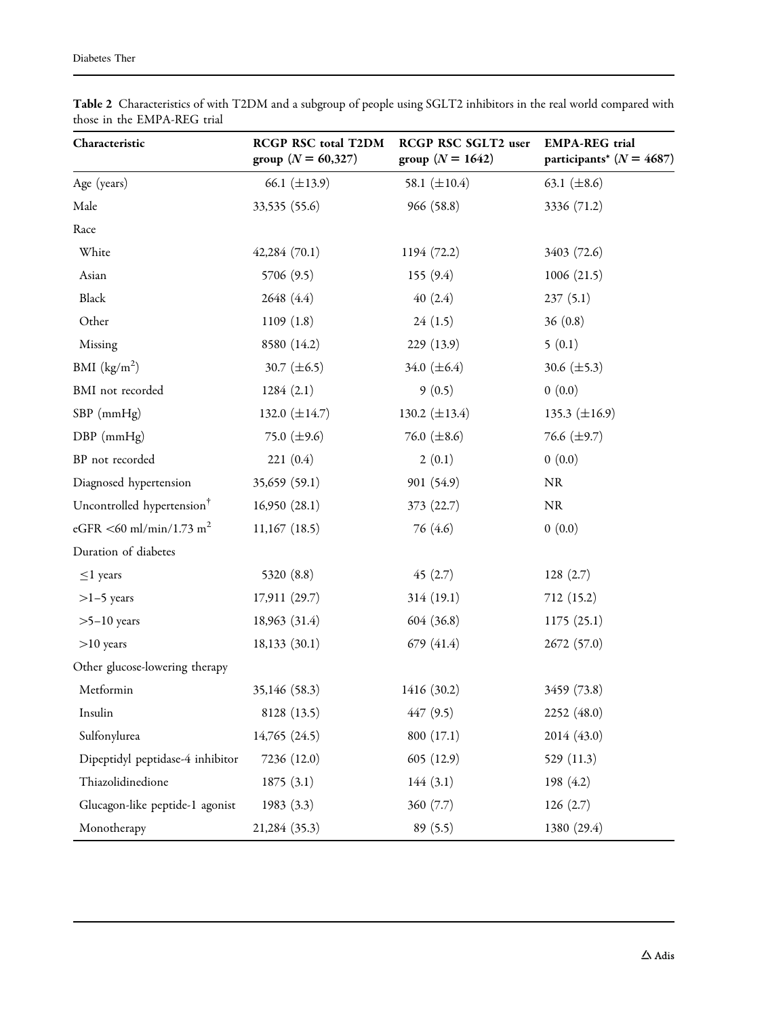| Characteristic                         | RCGP RSC total T2DM<br>group ( $N = 60,327$ ) | RCGP RSC SGLT2 user<br>group ( $N = 1642$ ) | <b>EMPA-REG</b> trial<br>participants* ( $N = 4687$ ) |  |
|----------------------------------------|-----------------------------------------------|---------------------------------------------|-------------------------------------------------------|--|
| Age (years)                            | 66.1 $(\pm 13.9)$                             | 58.1 $(\pm 10.4)$                           | 63.1 $(\pm 8.6)$                                      |  |
| Male                                   | 33,535 (55.6)                                 | 966 (58.8)                                  | 3336 (71.2)                                           |  |
| Race                                   |                                               |                                             |                                                       |  |
| White                                  | 42,284(70.1)                                  | 1194 (72.2)                                 | 3403 (72.6)                                           |  |
| Asian                                  | 5706 (9.5)                                    | 155(9.4)                                    | 1006(21.5)                                            |  |
| Black                                  | 2648 (4.4)                                    | 40(2.4)                                     | 237(5.1)                                              |  |
| Other                                  | 1109(1.8)                                     | 24(1.5)                                     | 36(0.8)                                               |  |
| Missing                                | 8580 (14.2)                                   | 229(13.9)                                   | 5(0.1)                                                |  |
| BMI $(kg/m2)$                          | 30.7 $(\pm 6.5)$                              | 34.0 $(\pm 6.4)$                            | 30.6 $(\pm 5.3)$                                      |  |
| BMI not recorded                       | 1284(2.1)                                     | 9(0.5)                                      | 0(0.0)                                                |  |
| $SBP$ (mmHg)                           | 132.0 $(\pm 14.7)$                            | 130.2 $(\pm 13.4)$                          | 135.3 $(\pm 16.9)$                                    |  |
| DBP (mmHg)                             | 75.0 $(\pm 9.6)$                              | 76.0 $(\pm 8.6)$                            | 76.6 $(\pm 9.7)$                                      |  |
| BP not recorded                        | 221(0.4)                                      | 2(0.1)                                      | 0(0.0)                                                |  |
| Diagnosed hypertension                 | 35,659 (59.1)                                 | 901 (54.9)                                  | $\rm NR$                                              |  |
| Uncontrolled hypertension <sup>†</sup> | 16,950(28.1)                                  | 373 (22.7)                                  | $\rm NR$                                              |  |
| eGFR <60 ml/min/1.73 m <sup>2</sup>    | $11,167$ (18.5)                               | 76 (4.6)                                    | 0(0.0)                                                |  |
| Duration of diabetes                   |                                               |                                             |                                                       |  |
| $\leq$ 1 years                         | 5320 (8.8)                                    | 45 $(2.7)$                                  | 128(2.7)                                              |  |
| $>1-5$ years                           | 17,911(29.7)                                  | 314(19.1)                                   | 712(15.2)                                             |  |
| $>5-10$ years                          | 18,963 (31.4)                                 | 604 (36.8)                                  | 1175(25.1)                                            |  |
| $>10$ years                            | 18,133(30.1)                                  | 679 (41.4)                                  | 2672 (57.0)                                           |  |
| Other glucose-lowering therapy         |                                               |                                             |                                                       |  |
| Metformin                              | 35,146 (58.3)                                 | 1416 (30.2)                                 | 3459 (73.8)                                           |  |
| Insulin                                | 8128 (13.5)                                   | 447 (9.5)                                   | 2252 (48.0)                                           |  |
| Sulfonylurea                           | 14,765 (24.5)                                 | 800 (17.1)                                  | 2014 (43.0)                                           |  |
| Dipeptidyl peptidase-4 inhibitor       | 7236 (12.0)                                   | 605(12.9)                                   | 529 (11.3)                                            |  |
| Thiazolidinedione                      | 1875(3.1)                                     | 144(3.1)                                    | 198 $(4.2)$                                           |  |
| Glucagon-like peptide-1 agonist        | 1983(3.3)                                     | 360(7.7)                                    | 126(2.7)                                              |  |
| Monotherapy                            | 21,284 (35.3)                                 | 89(5.5)                                     | 1380 (29.4)                                           |  |

<span id="page-4-0"></span>Table 2 Characteristics of with T2DM and a subgroup of people using SGLT2 inhibitors in the real world compared with those in the EMPA-REG trial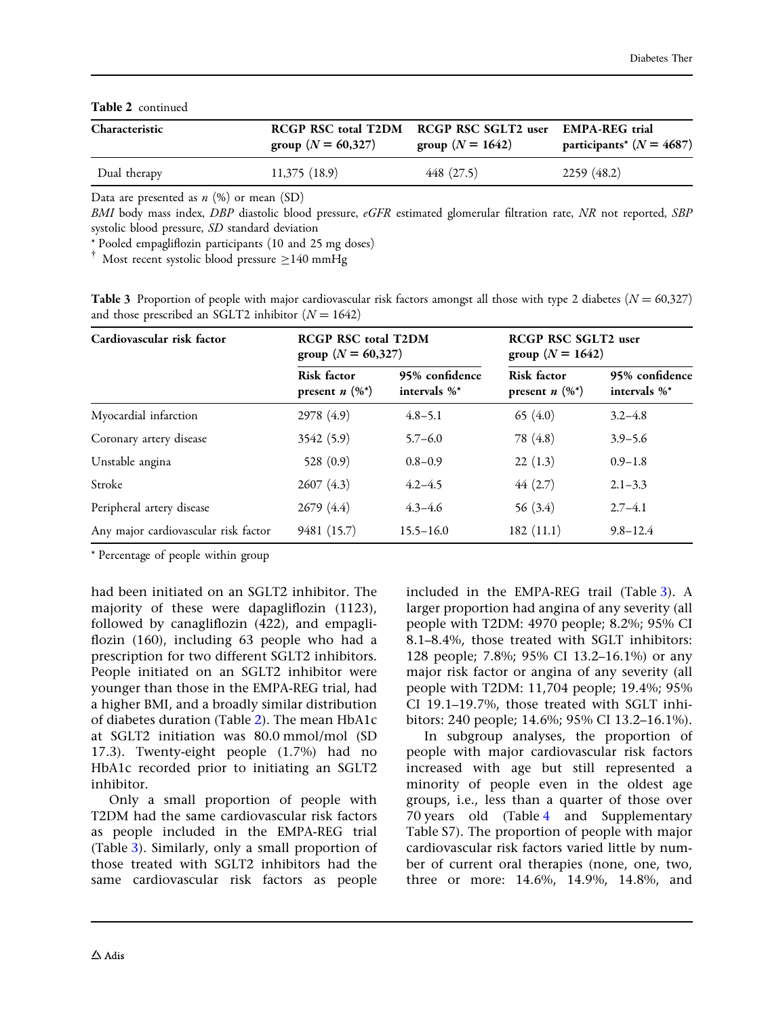#### Table 2 continued

| Characteristic | group ( $N = 60,327$ ) | RCGP RSC total T2DM RCGP RSC SGLT2 user<br>group ( $N = 1642$ ) | <b>EMPA-REG</b> trial<br>participants <sup>*</sup> ( $N = 4687$ ) |
|----------------|------------------------|-----------------------------------------------------------------|-------------------------------------------------------------------|
| Dual therapy   | 11,375(18.9)           | 448 (27.5)                                                      | 2259(48.2)                                                        |

Data are presented as  $n$  (%) or mean (SD)

BMI body mass index, DBP diastolic blood pressure, eGFR estimated glomerular filtration rate, NR not reported, SBP systolic blood pressure, SD standard deviation

\* Pooled empagliflozin participants (10 and 25 mg doses)

 $\dagger$  Most recent systolic blood pressure  $\geq$ 140 mmHg

**Table 3** Proportion of people with major cardiovascular risk factors amongst all those with type 2 diabetes ( $N = 60,327$ ) and those prescribed an SGLT2 inhibitor  $(N = 1642)$ 

| Cardiovascular risk factor           | <b>RCGP RSC total T2DM</b><br>group ( $N = 60,327$ ) |                                | <b>RCGP RSC SGLT2 user</b><br>group ( $N = 1642$ ) |                                    |
|--------------------------------------|------------------------------------------------------|--------------------------------|----------------------------------------------------|------------------------------------|
|                                      | <b>Risk factor</b><br>present $n$ $(\%^*)$           | 95% confidence<br>intervals %* | <b>Risk factor</b><br>present $n$ $(\%^*)$         | 95% confidence<br>intervals $\%^*$ |
| Myocardial infarction                | 2978 (4.9)                                           | $4.8 - 5.1$                    | 65 $(4.0)$                                         | $3.2 - 4.8$                        |
| Coronary artery disease              | 3542 (5.9)                                           | $5.7 - 6.0$                    | 78 (4.8)                                           | $3.9 - 5.6$                        |
| Unstable angina                      | 528 $(0.9)$                                          | $0.8 - 0.9$                    | 22(1.3)                                            | $0.9 - 1.8$                        |
| Stroke                               | 2607(4.3)                                            | $4.2 - 4.5$                    | 44(2.7)                                            | $2.1 - 3.3$                        |
| Peripheral artery disease            | 2679(4.4)                                            | $4.3 - 4.6$                    | 56 $(3.4)$                                         | $2.7 - 4.1$                        |
| Any major cardiovascular risk factor | 9481 (15.7)                                          | $15.5 - 16.0$                  | 182(11.1)                                          | $9.8 - 12.4$                       |

\* Percentage of people within group

had been initiated on an SGLT2 inhibitor. The majority of these were dapagliflozin (1123), followed by canagliflozin (422), and empagliflozin (160), including 63 people who had a prescription for two different SGLT2 inhibitors. People initiated on an SGLT2 inhibitor were younger than those in the EMPA-REG trial, had a higher BMI, and a broadly similar distribution of diabetes duration (Table [2\)](#page-4-0). The mean HbA1c at SGLT2 initiation was 80.0 mmol/mol (SD 17.3). Twenty-eight people (1.7%) had no HbA1c recorded prior to initiating an SGLT2 inhibitor.

Only a small proportion of people with T2DM had the same cardiovascular risk factors as people included in the EMPA-REG trial (Table 3). Similarly, only a small proportion of those treated with SGLT2 inhibitors had the same cardiovascular risk factors as people

included in the EMPA-REG trail (Table 3). A larger proportion had angina of any severity (all people with T2DM: 4970 people; 8.2%; 95% CI 8.1–8.4%, those treated with SGLT inhibitors: 128 people; 7.8%; 95% CI 13.2–16.1%) or any major risk factor or angina of any severity (all people with T2DM: 11,704 people; 19.4%; 95% CI 19.1–19.7%, those treated with SGLT inhibitors: 240 people; 14.6%; 95% CI 13.2–16.1%).

In subgroup analyses, the proportion of people with major cardiovascular risk factors increased with age but still represented a minority of people even in the oldest age groups, i.e., less than a quarter of those over 70 years old (Table [4](#page-6-0) and Supplementary Table S7). The proportion of people with major cardiovascular risk factors varied little by number of current oral therapies (none, one, two, three or more: 14.6%, 14.9%, 14.8%, and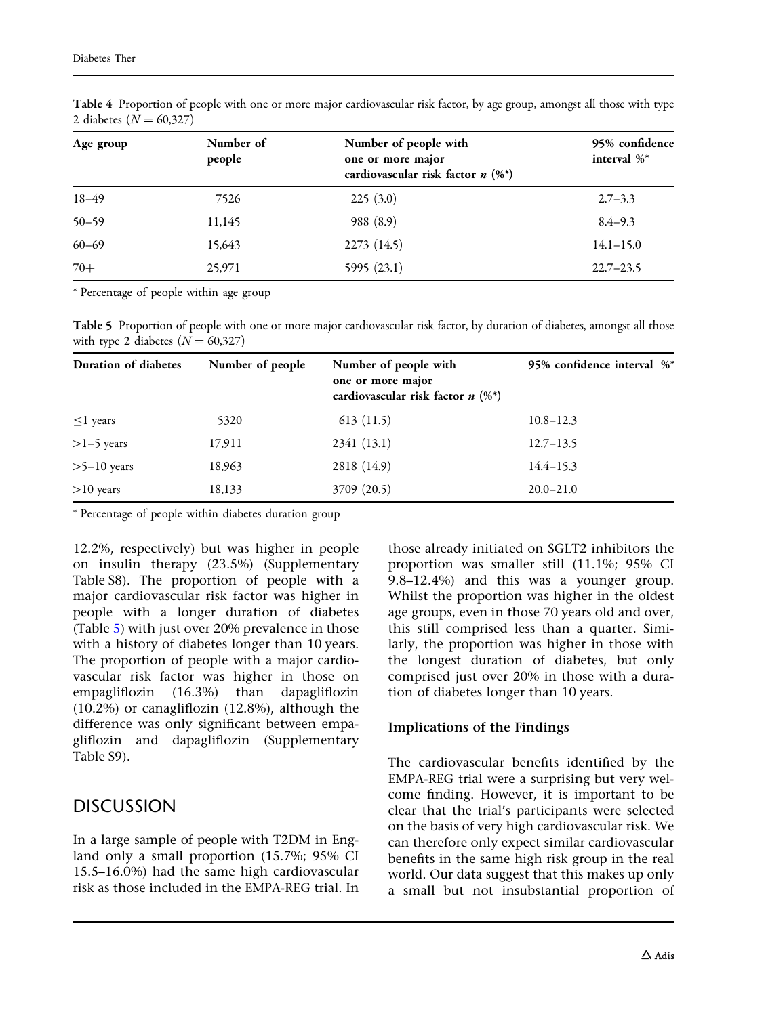| Age group | Number of<br>people | Number of people with<br>one or more major<br>cardiovascular risk factor $n$ (%*) | 95% confidence<br>interval %* |
|-----------|---------------------|-----------------------------------------------------------------------------------|-------------------------------|
| $18 - 49$ | 7526                | 225(3.0)                                                                          | $2.7 - 3.3$                   |
| $50 - 59$ | 11,145              | 988 (8.9)                                                                         | $8.4 - 9.3$                   |
| $60 - 69$ | 15,643              | 2273 (14.5)                                                                       | $14.1 - 15.0$                 |
| $70+$     | 25,971              | 5995(23.1)                                                                        | $22.7 - 23.5$                 |

<span id="page-6-0"></span>Table 4 Proportion of people with one or more major cardiovascular risk factor, by age group, amongst all those with type 2 diabetes ( $N = 60,327$ )

\* Percentage of people within age group

Table 5 Proportion of people with one or more major cardiovascular risk factor, by duration of diabetes, amongst all those with type 2 diabetes  $(N = 60,327)$ 

| Duration of diabetes | Number of people | Number of people with<br>one or more major<br>cardiovascular risk factor $n$ (%*) | 95% confidence interval %* |
|----------------------|------------------|-----------------------------------------------------------------------------------|----------------------------|
| $\leq$ 1 years       | 5320             | 613(11.5)                                                                         | $10.8 - 12.3$              |
| $>1-5$ years         | 17,911           | 2341 (13.1)                                                                       | $12.7 - 13.5$              |
| $>5-10$ years        | 18,963           | 2818 (14.9)                                                                       | $14.4 - 15.3$              |
| $>10$ years          | 18,133           | 3709 (20.5)                                                                       | $20.0 - 21.0$              |

\* Percentage of people within diabetes duration group

12.2%, respectively) but was higher in people on insulin therapy (23.5%) (Supplementary Table S8). The proportion of people with a major cardiovascular risk factor was higher in people with a longer duration of diabetes (Table 5) with just over 20% prevalence in those with a history of diabetes longer than 10 years. The proportion of people with a major cardiovascular risk factor was higher in those on empagliflozin (16.3%) than dapagliflozin (10.2%) or canagliflozin (12.8%), although the difference was only significant between empagliflozin and dapagliflozin (Supplementary Table S9).

# DISCUSSION

In a large sample of people with T2DM in England only a small proportion (15.7%; 95% CI 15.5–16.0%) had the same high cardiovascular risk as those included in the EMPA-REG trial. In

those already initiated on SGLT2 inhibitors the proportion was smaller still (11.1%; 95% CI 9.8–12.4%) and this was a younger group. Whilst the proportion was higher in the oldest age groups, even in those 70 years old and over, this still comprised less than a quarter. Similarly, the proportion was higher in those with the longest duration of diabetes, but only comprised just over 20% in those with a duration of diabetes longer than 10 years.

### Implications of the Findings

The cardiovascular benefits identified by the EMPA-REG trial were a surprising but very welcome finding. However, it is important to be clear that the trial's participants were selected on the basis of very high cardiovascular risk. We can therefore only expect similar cardiovascular benefits in the same high risk group in the real world. Our data suggest that this makes up only a small but not insubstantial proportion of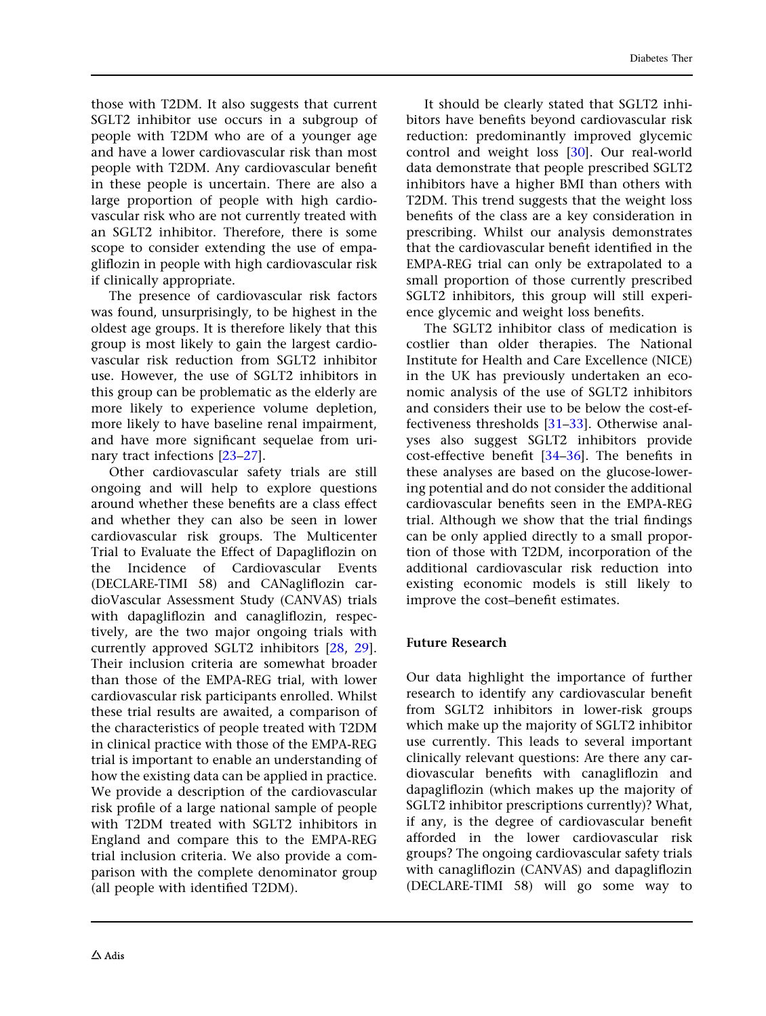those with T2DM. It also suggests that current SGLT2 inhibitor use occurs in a subgroup of people with T2DM who are of a younger age and have a lower cardiovascular risk than most people with T2DM. Any cardiovascular benefit in these people is uncertain. There are also a large proportion of people with high cardiovascular risk who are not currently treated with an SGLT2 inhibitor. Therefore, there is some scope to consider extending the use of empagliflozin in people with high cardiovascular risk if clinically appropriate.

The presence of cardiovascular risk factors was found, unsurprisingly, to be highest in the oldest age groups. It is therefore likely that this group is most likely to gain the largest cardiovascular risk reduction from SGLT2 inhibitor use. However, the use of SGLT2 inhibitors in this group can be problematic as the elderly are more likely to experience volume depletion, more likely to have baseline renal impairment, and have more significant sequelae from urinary tract infections [[23–27\]](#page-10-0).

Other cardiovascular safety trials are still ongoing and will help to explore questions around whether these benefits are a class effect and whether they can also be seen in lower cardiovascular risk groups. The Multicenter Trial to Evaluate the Effect of Dapagliflozin on the Incidence of Cardiovascular Events (DECLARE-TIMI 58) and CANagliflozin cardioVascular Assessment Study (CANVAS) trials with dapagliflozin and canagliflozin, respectively, are the two major ongoing trials with currently approved SGLT2 inhibitors [\[28,](#page-11-0) [29](#page-11-0)]. Their inclusion criteria are somewhat broader than those of the EMPA-REG trial, with lower cardiovascular risk participants enrolled. Whilst these trial results are awaited, a comparison of the characteristics of people treated with T2DM in clinical practice with those of the EMPA-REG trial is important to enable an understanding of how the existing data can be applied in practice. We provide a description of the cardiovascular risk profile of a large national sample of people with T2DM treated with SGLT2 inhibitors in England and compare this to the EMPA-REG trial inclusion criteria. We also provide a comparison with the complete denominator group (all people with identified T2DM).

It should be clearly stated that SGLT2 inhibitors have benefits beyond cardiovascular risk reduction: predominantly improved glycemic control and weight loss [[30](#page-11-0)]. Our real-world data demonstrate that people prescribed SGLT2 inhibitors have a higher BMI than others with T2DM. This trend suggests that the weight loss benefits of the class are a key consideration in prescribing. Whilst our analysis demonstrates that the cardiovascular benefit identified in the EMPA-REG trial can only be extrapolated to a small proportion of those currently prescribed SGLT2 inhibitors, this group will still experience glycemic and weight loss benefits.

The SGLT2 inhibitor class of medication is costlier than older therapies. The National Institute for Health and Care Excellence (NICE) in the UK has previously undertaken an economic analysis of the use of SGLT2 inhibitors and considers their use to be below the cost-effectiveness thresholds [\[31–33](#page-11-0)]. Otherwise analyses also suggest SGLT2 inhibitors provide cost-effective benefit [[34–36\]](#page-11-0). The benefits in these analyses are based on the glucose-lowering potential and do not consider the additional cardiovascular benefits seen in the EMPA-REG trial. Although we show that the trial findings can be only applied directly to a small proportion of those with T2DM, incorporation of the additional cardiovascular risk reduction into existing economic models is still likely to improve the cost–benefit estimates.

#### Future Research

Our data highlight the importance of further research to identify any cardiovascular benefit from SGLT2 inhibitors in lower-risk groups which make up the majority of SGLT2 inhibitor use currently. This leads to several important clinically relevant questions: Are there any cardiovascular benefits with canagliflozin and dapagliflozin (which makes up the majority of SGLT2 inhibitor prescriptions currently)? What, if any, is the degree of cardiovascular benefit afforded in the lower cardiovascular risk groups? The ongoing cardiovascular safety trials with canagliflozin (CANVAS) and dapagliflozin (DECLARE-TIMI 58) will go some way to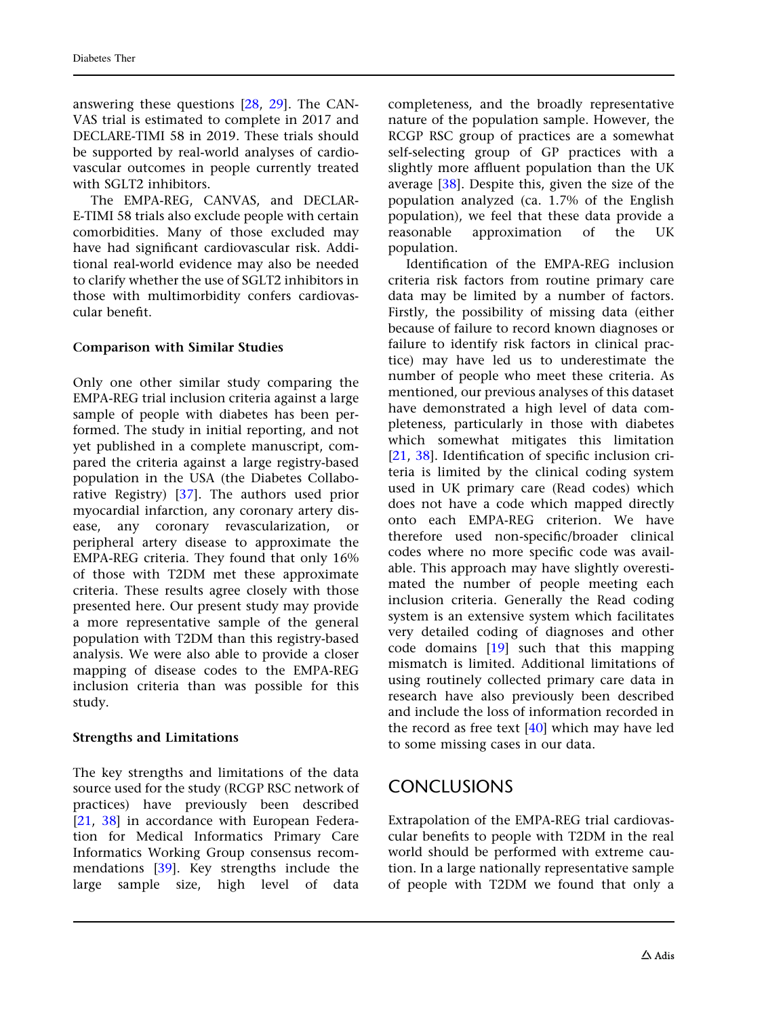answering these questions [\[28,](#page-11-0) [29\]](#page-11-0). The CAN-VAS trial is estimated to complete in 2017 and DECLARE-TIMI 58 in 2019. These trials should be supported by real-world analyses of cardiovascular outcomes in people currently treated with SGLT2 inhibitors.

The EMPA-REG, CANVAS, and DECLAR-E-TIMI 58 trials also exclude people with certain comorbidities. Many of those excluded may have had significant cardiovascular risk. Additional real-world evidence may also be needed to clarify whether the use of SGLT2 inhibitors in those with multimorbidity confers cardiovascular benefit.

### Comparison with Similar Studies

Only one other similar study comparing the EMPA-REG trial inclusion criteria against a large sample of people with diabetes has been performed. The study in initial reporting, and not yet published in a complete manuscript, compared the criteria against a large registry-based population in the USA (the Diabetes Collaborative Registry) [\[37\]](#page-11-0). The authors used prior myocardial infarction, any coronary artery disease, any coronary revascularization, or peripheral artery disease to approximate the EMPA-REG criteria. They found that only 16% of those with T2DM met these approximate criteria. These results agree closely with those presented here. Our present study may provide a more representative sample of the general population with T2DM than this registry-based analysis. We were also able to provide a closer mapping of disease codes to the EMPA-REG inclusion criteria than was possible for this study.

### Strengths and Limitations

The key strengths and limitations of the data source used for the study (RCGP RSC network of practices) have previously been described [\[21](#page-10-0), [38\]](#page-11-0) in accordance with European Federation for Medical Informatics Primary Care Informatics Working Group consensus recommendations [[39](#page-11-0)]. Key strengths include the large sample size, high level of data

completeness, and the broadly representative nature of the population sample. However, the RCGP RSC group of practices are a somewhat self-selecting group of GP practices with a slightly more affluent population than the UK average [[38](#page-11-0)]. Despite this, given the size of the population analyzed (ca. 1.7% of the English population), we feel that these data provide a reasonable approximation of the UK population.

Identification of the EMPA-REG inclusion criteria risk factors from routine primary care data may be limited by a number of factors. Firstly, the possibility of missing data (either because of failure to record known diagnoses or failure to identify risk factors in clinical practice) may have led us to underestimate the number of people who meet these criteria. As mentioned, our previous analyses of this dataset have demonstrated a high level of data completeness, particularly in those with diabetes which somewhat mitigates this limitation [\[21,](#page-10-0) [38\]](#page-11-0). Identification of specific inclusion criteria is limited by the clinical coding system used in UK primary care (Read codes) which does not have a code which mapped directly onto each EMPA-REG criterion. We have therefore used non-specific/broader clinical codes where no more specific code was available. This approach may have slightly overestimated the number of people meeting each inclusion criteria. Generally the Read coding system is an extensive system which facilitates very detailed coding of diagnoses and other code domains [\[19\]](#page-10-0) such that this mapping mismatch is limited. Additional limitations of using routinely collected primary care data in research have also previously been described and include the loss of information recorded in the record as free text [\[40\]](#page-11-0) which may have led to some missing cases in our data.

### CONCLUSIONS

Extrapolation of the EMPA-REG trial cardiovascular benefits to people with T2DM in the real world should be performed with extreme caution. In a large nationally representative sample of people with T2DM we found that only a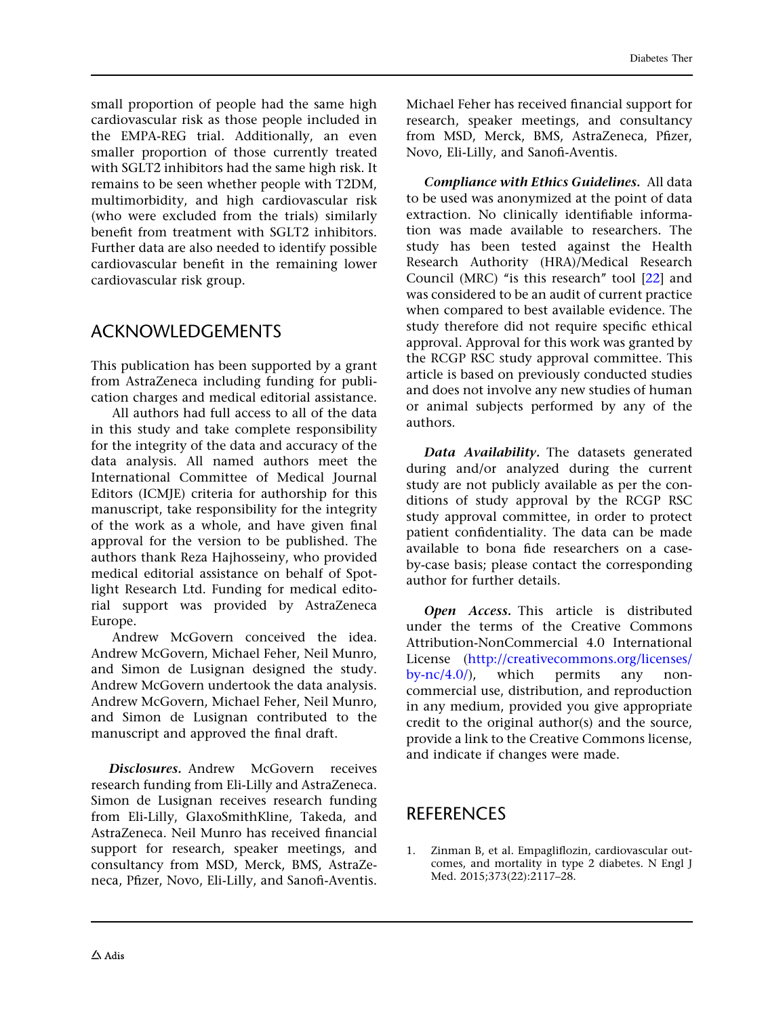<span id="page-9-0"></span>small proportion of people had the same high cardiovascular risk as those people included in the EMPA-REG trial. Additionally, an even smaller proportion of those currently treated with SGLT2 inhibitors had the same high risk. It remains to be seen whether people with T2DM, multimorbidity, and high cardiovascular risk (who were excluded from the trials) similarly benefit from treatment with SGLT2 inhibitors. Further data are also needed to identify possible cardiovascular benefit in the remaining lower cardiovascular risk group.

# ACKNOWLEDGEMENTS

This publication has been supported by a grant from AstraZeneca including funding for publication charges and medical editorial assistance.

All authors had full access to all of the data in this study and take complete responsibility for the integrity of the data and accuracy of the data analysis. All named authors meet the International Committee of Medical Journal Editors (ICMJE) criteria for authorship for this manuscript, take responsibility for the integrity of the work as a whole, and have given final approval for the version to be published. The authors thank Reza Hajhosseiny, who provided medical editorial assistance on behalf of Spotlight Research Ltd. Funding for medical editorial support was provided by AstraZeneca Europe.

Andrew McGovern conceived the idea. Andrew McGovern, Michael Feher, Neil Munro, and Simon de Lusignan designed the study. Andrew McGovern undertook the data analysis. Andrew McGovern, Michael Feher, Neil Munro, and Simon de Lusignan contributed to the manuscript and approved the final draft.

Disclosures. Andrew McGovern receives research funding from Eli-Lilly and AstraZeneca. Simon de Lusignan receives research funding from Eli-Lilly, GlaxoSmithKline, Takeda, and AstraZeneca. Neil Munro has received financial support for research, speaker meetings, and consultancy from MSD, Merck, BMS, AstraZeneca, Pfizer, Novo, Eli-Lilly, and Sanofi-Aventis.

Michael Feher has received financial support for research, speaker meetings, and consultancy from MSD, Merck, BMS, AstraZeneca, Pfizer, Novo, Eli-Lilly, and Sanofi-Aventis.

Compliance with Ethics Guidelines. All data to be used was anonymized at the point of data extraction. No clinically identifiable information was made available to researchers. The study has been tested against the Health Research Authority (HRA)/Medical Research Council (MRC) "is this research" tool [\[22](#page-10-0)] and was considered to be an audit of current practice when compared to best available evidence. The study therefore did not require specific ethical approval. Approval for this work was granted by the RCGP RSC study approval committee. This article is based on previously conducted studies and does not involve any new studies of human or animal subjects performed by any of the authors.

Data Availability. The datasets generated during and/or analyzed during the current study are not publicly available as per the conditions of study approval by the RCGP RSC study approval committee, in order to protect patient confidentiality. The data can be made available to bona fide researchers on a caseby-case basis; please contact the corresponding author for further details.

Open Access. This article is distributed under the terms of the Creative Commons Attribution-NonCommercial 4.0 International License ([http://creativecommons.org/licenses/](http://creativecommons.org/licenses/by-nc/4.0/)  $bv\text{-}nc/4.0$ ), which permits any noncommercial use, distribution, and reproduction in any medium, provided you give appropriate credit to the original author(s) and the source, provide a link to the Creative Commons license, and indicate if changes were made.

# REFERENCES

1. Zinman B, et al. Empagliflozin, cardiovascular outcomes, and mortality in type 2 diabetes. N Engl J Med. 2015;373(22):2117–28.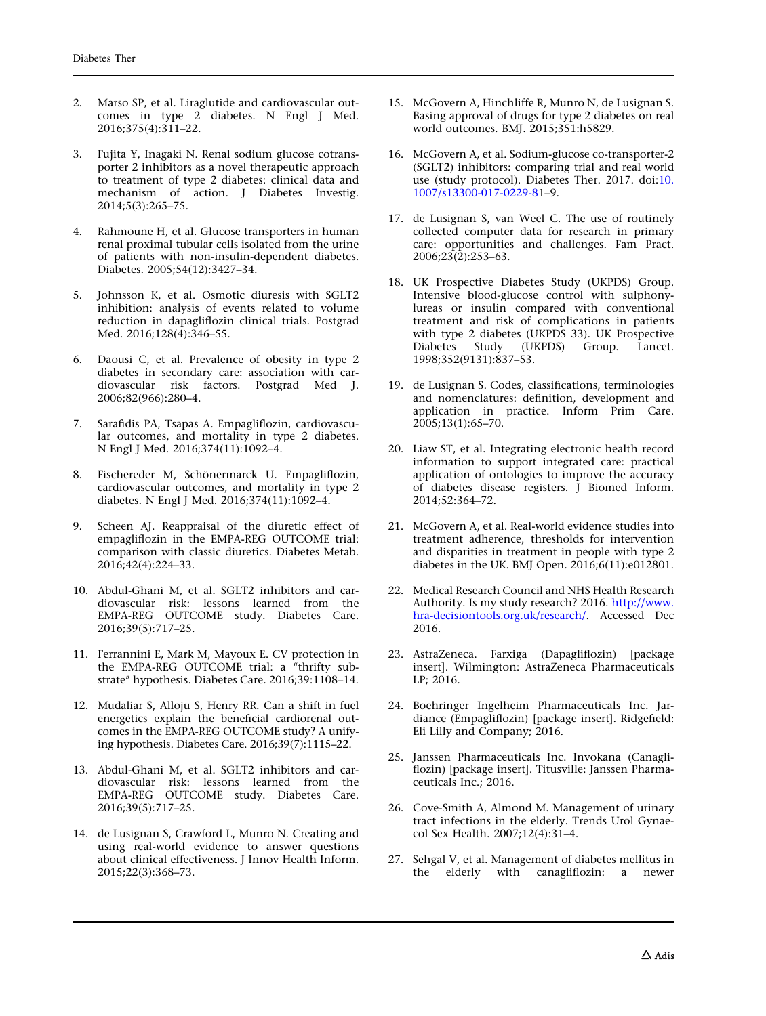- <span id="page-10-0"></span>2. Marso SP, et al. Liraglutide and cardiovascular outcomes in type 2 diabetes. N Engl J Med. 2016;375(4):311–22.
- 3. Fujita Y, Inagaki N. Renal sodium glucose cotransporter 2 inhibitors as a novel therapeutic approach to treatment of type 2 diabetes: clinical data and mechanism of action. J Diabetes Investig. 2014;5(3):265–75.
- 4. Rahmoune H, et al. Glucose transporters in human renal proximal tubular cells isolated from the urine of patients with non-insulin-dependent diabetes. Diabetes. 2005;54(12):3427–34.
- 5. Johnsson K, et al. Osmotic diuresis with SGLT2 inhibition: analysis of events related to volume reduction in dapagliflozin clinical trials. Postgrad Med. 2016;128(4):346–55.
- 6. Daousi C, et al. Prevalence of obesity in type 2 diabetes in secondary care: association with cardiovascular risk factors. Postgrad Med J. 2006;82(966):280–4.
- 7. Sarafidis PA, Tsapas A. Empagliflozin, cardiovascular outcomes, and mortality in type 2 diabetes. N Engl J Med. 2016;374(11):1092–4.
- 8. Fischereder M, Schönermarck U. Empagliflozin, cardiovascular outcomes, and mortality in type 2 diabetes. N Engl J Med. 2016;374(11):1092–4.
- 9. Scheen AJ. Reappraisal of the diuretic effect of empagliflozin in the EMPA-REG OUTCOME trial: comparison with classic diuretics. Diabetes Metab. 2016;42(4):224–33.
- 10. Abdul-Ghani M, et al. SGLT2 inhibitors and cardiovascular risk: lessons learned from the EMPA-REG OUTCOME study. Diabetes Care. 2016;39(5):717–25.
- 11. Ferrannini E, Mark M, Mayoux E. CV protection in the EMPA-REG OUTCOME trial: a ''thrifty substrate'' hypothesis. Diabetes Care. 2016;39:1108–14.
- 12. Mudaliar S, Alloju S, Henry RR. Can a shift in fuel energetics explain the beneficial cardiorenal outcomes in the EMPA-REG OUTCOME study? A unifying hypothesis. Diabetes Care. 2016;39(7):1115–22.
- 13. Abdul-Ghani M, et al. SGLT2 inhibitors and cardiovascular risk: lessons learned from the EMPA-REG OUTCOME study. Diabetes Care. 2016;39(5):717–25.
- 14. de Lusignan S, Crawford L, Munro N. Creating and using real-world evidence to answer questions about clinical effectiveness. J Innov Health Inform. 2015;22(3):368–73.
- 15. McGovern A, Hinchliffe R, Munro N, de Lusignan S. Basing approval of drugs for type 2 diabetes on real world outcomes. BMJ. 2015;351:h5829.
- 16. McGovern A, et al. Sodium-glucose co-transporter-2 (SGLT2) inhibitors: comparing trial and real world use (study protocol). Diabetes Ther. 2017. doi[:10.](http://dx.doi.org/10.1007/s13300-017-0229-8) [1007/s13300-017-0229-81](http://dx.doi.org/10.1007/s13300-017-0229-8)–9.
- 17. de Lusignan S, van Weel C. The use of routinely collected computer data for research in primary care: opportunities and challenges. Fam Pract.  $2006;23(2):253-63.$
- 18. UK Prospective Diabetes Study (UKPDS) Group. Intensive blood-glucose control with sulphonylureas or insulin compared with conventional treatment and risk of complications in patients with type 2 diabetes (UKPDS 33). UK Prospective<br>Diabetes Study (UKPDS) Group. Lancet. Study (UKPDS) Group. Lancet. 1998;352(9131):837–53.
- 19. de Lusignan S. Codes, classifications, terminologies and nomenclatures: definition, development and application in practice. Inform Prim Care. 2005;13(1):65–70.
- 20. Liaw ST, et al. Integrating electronic health record information to support integrated care: practical application of ontologies to improve the accuracy of diabetes disease registers. J Biomed Inform. 2014;52:364–72.
- 21. McGovern A, et al. Real-world evidence studies into treatment adherence, thresholds for intervention and disparities in treatment in people with type 2 diabetes in the UK. BMJ Open. 2016;6(11):e012801.
- 22. Medical Research Council and NHS Health Research Authority. Is my study research? 2016. [http://www.](http://www.hra-decisiontools.org.uk/research/) [hra-decisiontools.org.uk/research/.](http://www.hra-decisiontools.org.uk/research/) Accessed Dec 2016.
- 23. AstraZeneca. Farxiga (Dapagliflozin) [package insert]. Wilmington: AstraZeneca Pharmaceuticals LP; 2016.
- 24. Boehringer Ingelheim Pharmaceuticals Inc. Jardiance (Empagliflozin) [package insert]. Ridgefield: Eli Lilly and Company; 2016.
- 25. Janssen Pharmaceuticals Inc. Invokana (Canagliflozin) [package insert]. Titusville: Janssen Pharmaceuticals Inc.; 2016.
- 26. Cove-Smith A, Almond M. Management of urinary tract infections in the elderly. Trends Urol Gynaecol Sex Health. 2007;12(4):31–4.
- 27. Sehgal V, et al. Management of diabetes mellitus in the elderly with canagliflozin: a newer